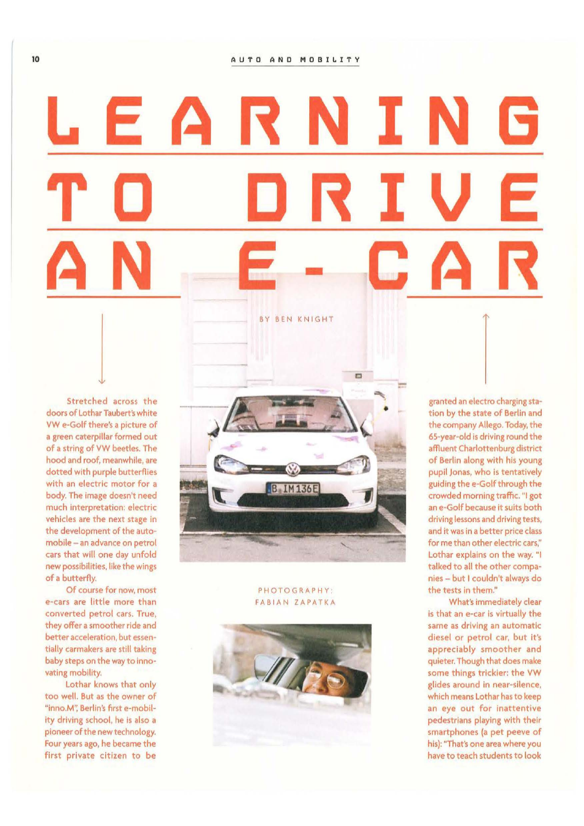## **LEARNING DRIV TC**  Ξ - **AN A**  BY BEN KNIGHT

Stretched across the doors of Lothar Taubert's white VW e-Golf there's a picture of a green caterplllar formed out of a string of VW beetles. The hood and roof, meanwhile, are dotted with purple butterflies with an electric motor for a body. The image doesn't need much Interpretation: electric vehicles are the next stage in the development of the automobile - an advance on petrol cars that will one day unfold new possibilities, like the wings of a butterfly.

Of course for now, most e-cars are little more than converted petrol cars. True, they offer a smoother ride and better acceleration, but essentially carmakers are still taking baby steps on the way to innovating mobility.

Lothar knows that only too weil. But as the owner of "inno.M", Berlin's first e-mobility driving school, he is also a pioneer of the new technology. Four years ago, he became the first private citizen to be



## PHOTOGRAPHY: FABIAN ZAPATKA



granted an electro charging station by the state of Berlin and the company Allego. Today, the 65-year-old is driving round the affluent Charlottenburg district of Berlin along with his young pupil Jonas, who is tentatively guiding the e-Golf through the crowded morning traffic. "I got an e-Golf because lt suits both driving lessons and driving tests, and it was in a better price class for me than other electric cars," Lothar explains on the way. "I talked to all the other compa· nies - but I couldn't always do the tests in them."

What's immediately clear is that an e·car is virtually the same as driving an automatic diesel or petrol car, but it's appreciably smoother and quieter. Though that does make some things trickier: the VW glides around in near-silence, which means Lothar has to keep an eye out for inattentive pedestrians playing with their smartphones (a pet peeve of his): "That's one area where you have to teach students to Iook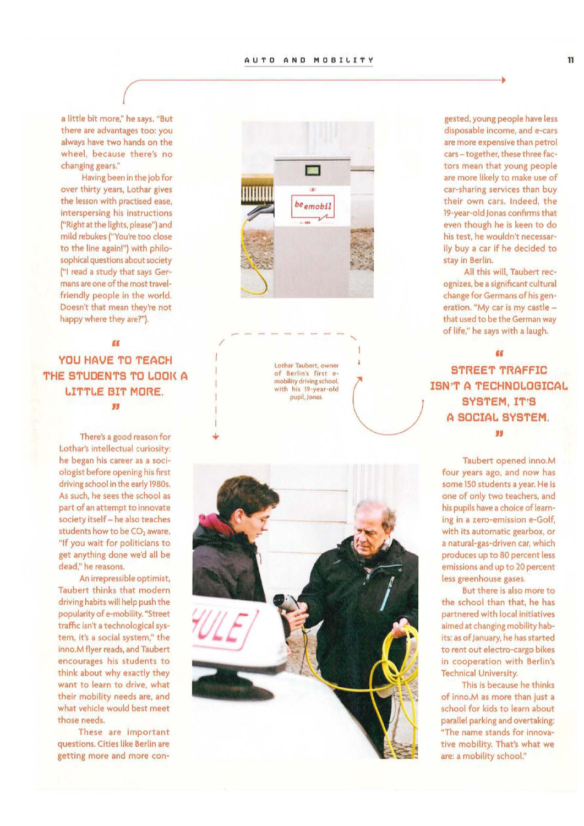a little bit more," he says. "But there are advantages too: you always have two hands on the wheel, because there's no changing gears."

Having been in the job for over thirty years, Lothar gives the lesson with practised ease, interspersing his instructions ("Right at the lights, please") and mild rebukes ("You're too close to the line again!") with philosophical questions about society ("I read a study that says Germansare one of the most travelfriendly people in the world. Doesn't that mean they're not happy where they are?").

**EE YOU HAVE TO TEACH THE STUDENTS TO LOOK A LITTLE BIT MORE. JJ** 

> There's a good reason for Lothar's intellectual curiosity: he began his career as a sociologist before opening his first driving school in the early 1980s. As such, he sees the school as part of an attempt to innovate society itself- he also teaches students how to be CO<sub>2</sub> aware. "lf you wait for politicians to get anything done we'd all be dead," he reasons.

An irrepressible optimist, Taubert thinks that modern driving habits will help push the popularity of e·mobility. "Street traffic isn't a technological system, lt's a social system," the inno.M flyer reads, and Taubert encourages his students to think about why exactly they want to learn to drive, what their mobility needs are, and what vehicle would best meet those needs.

These are important questions. Cities like Berlin are getting more and more con-



Lothar Taubert, owner<br>of Berlin's first emobillty drlving school. with his 19-year-old pupil, Jonas.

 $\lambda$ 

---------

/



gested, young people have less disposable income, and e·cars are more expensive than petrol cars- together, these three factors mean that young people are more likely to make use of car·sharing services than buy their own cars. lndeed, the 19-year-old Jonas confirms that even though he is keen to do his test, he wouldn't necessarily buy a car if he decided to stay in Berlin.

All this will, Taubert recognizes, be a significant cultural change for Germans of his generation. "My car is my castle that used to be the German way of life," he says with a laugh.

## **(I**

**STREET TRAFFIC ISN<sup>\*</sup>T A TECHNOLOGICAL SYSTEM, IT'S A SOCIAL SYSTEM.** II

Taubert opened inno.M four years ago, and now has some 150 students a year. He is one of only two teachers, and his pupils have a choice of learning in a zero-emission e-Golf, with its automatic gearbox, or a natural-gas-driven car, which produces up to 80 percent less emissions and up to 20 percent less greenhouse gases.

But there is also more to the school than that, he has partnered with local initiatives aimed at changing mobility hab· its: as of January, he has started to rent out electro-cargo bikes in cooperation with Berlin's Technical University.

This is because he thinks of inno.M as more than just a school for kids to learn about parallel parking and overtaking: "The name stands for innovative mobility. That's what we are: a mobility school."